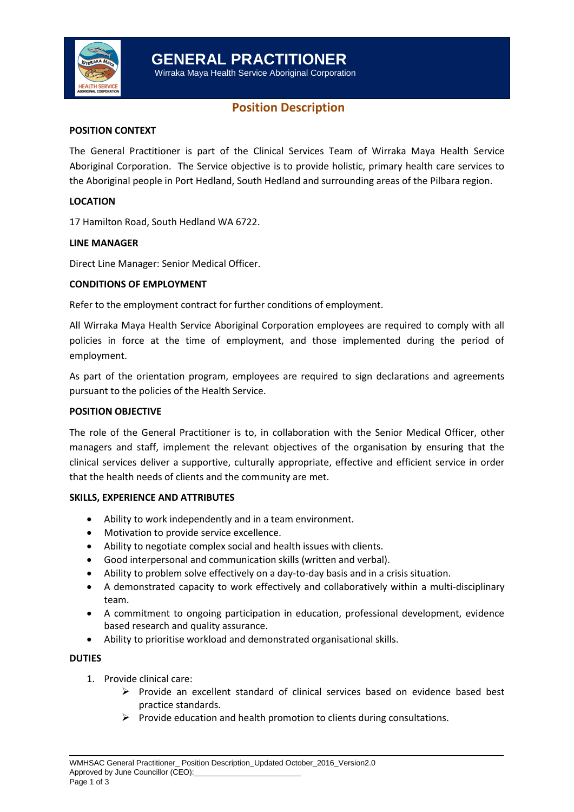

Wirraka Maya Health Service Aboriginal Corporation

# **Position Description**

# **POSITION CONTEXT**

The General Practitioner is part of the Clinical Services Team of Wirraka Maya Health Service Aboriginal Corporation. The Service objective is to provide holistic, primary health care services to the Aboriginal people in Port Hedland, South Hedland and surrounding areas of the Pilbara region.

## **LOCATION**

17 Hamilton Road, South Hedland WA 6722.

#### **LINE MANAGER**

Direct Line Manager: Senior Medical Officer.

## **CONDITIONS OF EMPLOYMENT**

Refer to the employment contract for further conditions of employment.

All Wirraka Maya Health Service Aboriginal Corporation employees are required to comply with all policies in force at the time of employment, and those implemented during the period of employment.

As part of the orientation program, employees are required to sign declarations and agreements pursuant to the policies of the Health Service.

#### **POSITION OBJECTIVE**

The role of the General Practitioner is to, in collaboration with the Senior Medical Officer, other managers and staff, implement the relevant objectives of the organisation by ensuring that the clinical services deliver a supportive, culturally appropriate, effective and efficient service in order that the health needs of clients and the community are met.

#### **SKILLS, EXPERIENCE AND ATTRIBUTES**

- Ability to work independently and in a team environment.
- Motivation to provide service excellence.
- Ability to negotiate complex social and health issues with clients.
- Good interpersonal and communication skills (written and verbal).
- Ability to problem solve effectively on a day-to-day basis and in a crisis situation.
- A demonstrated capacity to work effectively and collaboratively within a multi-disciplinary team.
- A commitment to ongoing participation in education, professional development, evidence based research and quality assurance.
- Ability to prioritise workload and demonstrated organisational skills.

#### **DUTIES**

- 1. Provide clinical care:
	- $\triangleright$  Provide an excellent standard of clinical services based on evidence based best practice standards.
	- $\triangleright$  Provide education and health promotion to clients during consultations.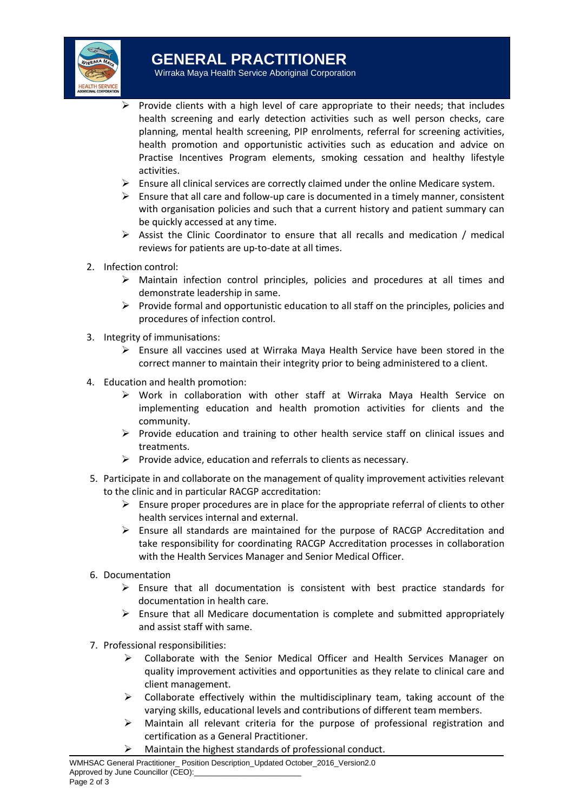

Wirraka Maya Health Service Aboriginal Corporation

- Provide clients with a high level of care appropriate to their needs; that includes health screening and early detection activities such as well person checks, care planning, mental health screening, PIP enrolments, referral for screening activities, health promotion and opportunistic activities such as education and advice on Practise Incentives Program elements, smoking cessation and healthy lifestyle activities.
- $\triangleright$  Ensure all clinical services are correctly claimed under the online Medicare system.
- $\triangleright$  Ensure that all care and follow-up care is documented in a timely manner, consistent with organisation policies and such that a current history and patient summary can be quickly accessed at any time.
- $\triangleright$  Assist the Clinic Coordinator to ensure that all recalls and medication / medical reviews for patients are up-to-date at all times.
- 2. Infection control:
	- $\triangleright$  Maintain infection control principles, policies and procedures at all times and demonstrate leadership in same.
	- $\triangleright$  Provide formal and opportunistic education to all staff on the principles, policies and procedures of infection control.
- 3. Integrity of immunisations:
	- $\triangleright$  Ensure all vaccines used at Wirraka Maya Health Service have been stored in the correct manner to maintain their integrity prior to being administered to a client.
- 4. Education and health promotion:
	- Work in collaboration with other staff at Wirraka Maya Health Service on implementing education and health promotion activities for clients and the community.
	- $\triangleright$  Provide education and training to other health service staff on clinical issues and treatments.
	- $\triangleright$  Provide advice, education and referrals to clients as necessary.
- 5. Participate in and collaborate on the management of quality improvement activities relevant to the clinic and in particular RACGP accreditation:
	- $\triangleright$  Ensure proper procedures are in place for the appropriate referral of clients to other health services internal and external.
	- $\triangleright$  Ensure all standards are maintained for the purpose of RACGP Accreditation and take responsibility for coordinating RACGP Accreditation processes in collaboration with the Health Services Manager and Senior Medical Officer.
- 6. Documentation
	- $\triangleright$  Ensure that all documentation is consistent with best practice standards for documentation in health care.
	- $\triangleright$  Ensure that all Medicare documentation is complete and submitted appropriately and assist staff with same.
- 7. Professional responsibilities:
	- Collaborate with the Senior Medical Officer and Health Services Manager on quality improvement activities and opportunities as they relate to clinical care and client management.
	- $\triangleright$  Collaborate effectively within the multidisciplinary team, taking account of the varying skills, educational levels and contributions of different team members.
	- $\triangleright$  Maintain all relevant criteria for the purpose of professional registration and certification as a General Practitioner.
	- Maintain the highest standards of professional conduct.